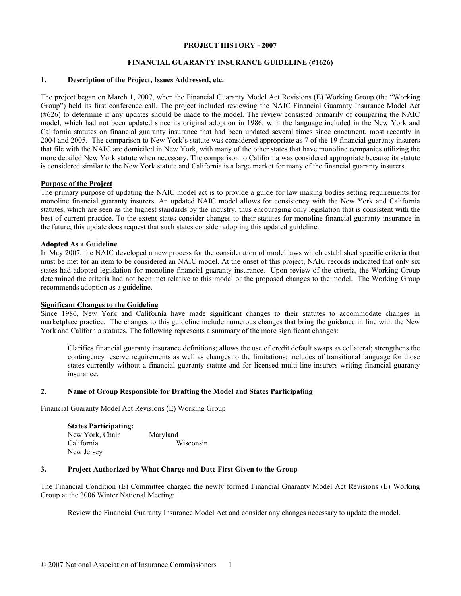#### **PROJECT HISTORY - 2007**

## **FINANCIAL GUARANTY INSURANCE GUIDELINE (#1626)**

## **1. Description of the Project, Issues Addressed, etc.**

The project began on March 1, 2007, when the Financial Guaranty Model Act Revisions (E) Working Group (the "Working Group") held its first conference call. The project included reviewing the NAIC Financial Guaranty Insurance Model Act (#626) to determine if any updates should be made to the model. The review consisted primarily of comparing the NAIC model, which had not been updated since its original adoption in 1986, with the language included in the New York and California statutes on financial guaranty insurance that had been updated several times since enactment, most recently in 2004 and 2005. The comparison to New York's statute was considered appropriate as 7 of the 19 financial guaranty insurers that file with the NAIC are domiciled in New York, with many of the other states that have monoline companies utilizing the more detailed New York statute when necessary. The comparison to California was considered appropriate because its statute is considered similar to the New York statute and California is a large market for many of the financial guaranty insurers.

#### **Purpose of the Project**

The primary purpose of updating the NAIC model act is to provide a guide for law making bodies setting requirements for monoline financial guaranty insurers. An updated NAIC model allows for consistency with the New York and California statutes, which are seen as the highest standards by the industry, thus encouraging only legislation that is consistent with the best of current practice. To the extent states consider changes to their statutes for monoline financial guaranty insurance in the future; this update does request that such states consider adopting this updated guideline.

## **Adopted As a Guideline**

In May 2007, the NAIC developed a new process for the consideration of model laws which established specific criteria that must be met for an item to be considered an NAIC model. At the onset of this project, NAIC records indicated that only six states had adopted legislation for monoline financial guaranty insurance. Upon review of the criteria, the Working Group determined the criteria had not been met relative to this model or the proposed changes to the model. The Working Group recommends adoption as a guideline.

#### **Significant Changes to the Guideline**

Since 1986, New York and California have made significant changes to their statutes to accommodate changes in marketplace practice. The changes to this guideline include numerous changes that bring the guidance in line with the New York and California statutes. The following represents a summary of the more significant changes:

Clarifies financial guaranty insurance definitions; allows the use of credit default swaps as collateral; strengthens the contingency reserve requirements as well as changes to the limitations; includes of transitional language for those states currently without a financial guaranty statute and for licensed multi-line insurers writing financial guaranty insurance.

#### **2. Name of Group Responsible for Drafting the Model and States Participating**

Financial Guaranty Model Act Revisions (E) Working Group

| <b>States Participating:</b> |           |
|------------------------------|-----------|
| New York, Chair              | Maryland  |
| California                   | Wisconsin |
| New Jersey                   |           |

# **3. Project Authorized by What Charge and Date First Given to the Group**

The Financial Condition (E) Committee charged the newly formed Financial Guaranty Model Act Revisions (E) Working Group at the 2006 Winter National Meeting:

Review the Financial Guaranty Insurance Model Act and consider any changes necessary to update the model.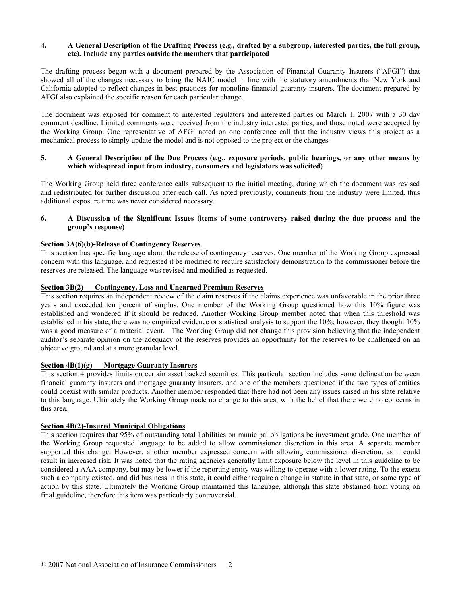# **4. A General Description of the Drafting Process (e.g., drafted by a subgroup, interested parties, the full group, etc). Include any parties outside the members that participated**

The drafting process began with a document prepared by the Association of Financial Guaranty Insurers ("AFGI") that showed all of the changes necessary to bring the NAIC model in line with the statutory amendments that New York and California adopted to reflect changes in best practices for monoline financial guaranty insurers. The document prepared by AFGI also explained the specific reason for each particular change.

The document was exposed for comment to interested regulators and interested parties on March 1, 2007 with a 30 day comment deadline. Limited comments were received from the industry interested parties, and those noted were accepted by the Working Group. One representative of AFGI noted on one conference call that the industry views this project as a mechanical process to simply update the model and is not opposed to the project or the changes.

## **5. A General Description of the Due Process (e.g., exposure periods, public hearings, or any other means by which widespread input from industry, consumers and legislators was solicited)**

The Working Group held three conference calls subsequent to the initial meeting, during which the document was revised and redistributed for further discussion after each call. As noted previously, comments from the industry were limited, thus additional exposure time was never considered necessary.

# **6. A Discussion of the Significant Issues (items of some controversy raised during the due process and the group's response)**

# **Section 3A(6)(b)-Release of Contingency Reserves**

This section has specific language about the release of contingency reserves. One member of the Working Group expressed concern with this language, and requested it be modified to require satisfactory demonstration to the commissioner before the reserves are released. The language was revised and modified as requested.

## **Section 3B(2) — Contingency, Loss and Unearned Premium Reserves**

This section requires an independent review of the claim reserves if the claims experience was unfavorable in the prior three years and exceeded ten percent of surplus. One member of the Working Group questioned how this 10% figure was established and wondered if it should be reduced. Another Working Group member noted that when this threshold was established in his state, there was no empirical evidence or statistical analysis to support the 10%; however, they thought 10% was a good measure of a material event. The Working Group did not change this provision believing that the independent auditor's separate opinion on the adequacy of the reserves provides an opportunity for the reserves to be challenged on an objective ground and at a more granular level.

#### **Section 4B(1)(g) — Mortgage Guaranty Insurers**

This section 4 provides limits on certain asset backed securities. This particular section includes some delineation between financial guaranty insurers and mortgage guaranty insurers, and one of the members questioned if the two types of entities could coexist with similar products. Another member responded that there had not been any issues raised in his state relative to this language. Ultimately the Working Group made no change to this area, with the belief that there were no concerns in this area.

# **Section 4B(2)-Insured Municipal Obligations**

This section requires that 95% of outstanding total liabilities on municipal obligations be investment grade. One member of the Working Group requested language to be added to allow commissioner discretion in this area. A separate member supported this change. However, another member expressed concern with allowing commissioner discretion, as it could result in increased risk. It was noted that the rating agencies generally limit exposure below the level in this guideline to be considered a AAA company, but may be lower if the reporting entity was willing to operate with a lower rating. To the extent such a company existed, and did business in this state, it could either require a change in statute in that state, or some type of action by this state. Ultimately the Working Group maintained this language, although this state abstained from voting on final guideline, therefore this item was particularly controversial.